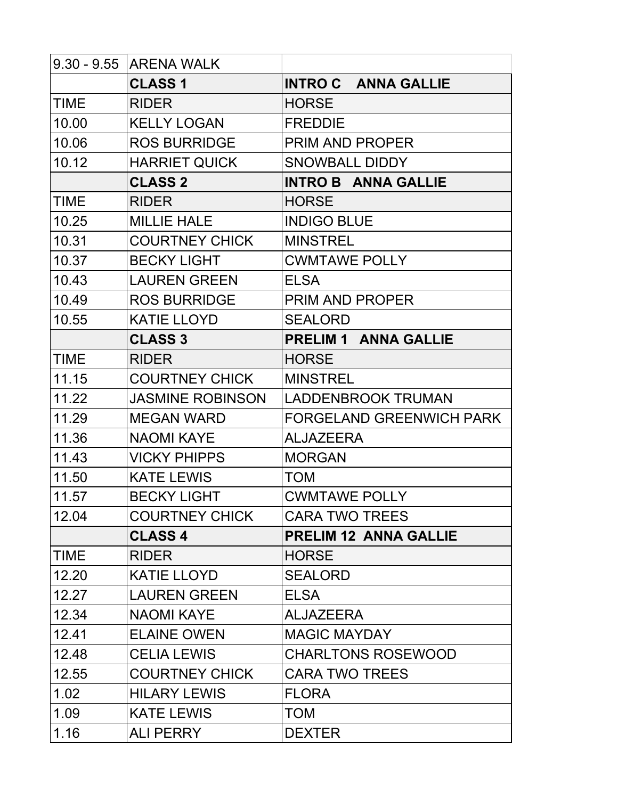|             | 9.30 - 9.55 ARENA WALK  |                                 |
|-------------|-------------------------|---------------------------------|
|             | <b>CLASS 1</b>          | <b>INTRO C ANNA GALLIE</b>      |
| <b>TIME</b> | <b>RIDER</b>            | <b>HORSE</b>                    |
| 10.00       | <b>KELLY LOGAN</b>      | <b>FREDDIE</b>                  |
| 10.06       | <b>ROS BURRIDGE</b>     | <b>PRIM AND PROPER</b>          |
| 10.12       | <b>HARRIET QUICK</b>    | <b>SNOWBALL DIDDY</b>           |
|             | <b>CLASS 2</b>          | <b>INTRO B ANNA GALLIE</b>      |
| <b>TIME</b> | <b>RIDER</b>            | <b>HORSE</b>                    |
| 10.25       | <b>MILLIE HALE</b>      | <b>INDIGO BLUE</b>              |
| 10.31       | <b>COURTNEY CHICK</b>   | <b>MINSTREL</b>                 |
| 10.37       | <b>BECKY LIGHT</b>      | <b>CWMTAWE POLLY</b>            |
| 10.43       | <b>LAUREN GREEN</b>     | <b>ELSA</b>                     |
| 10.49       | <b>ROS BURRIDGE</b>     | <b>PRIM AND PROPER</b>          |
| 10.55       | <b>KATIE LLOYD</b>      | <b>SEALORD</b>                  |
|             | <b>CLASS 3</b>          | <b>PRELIM 1 ANNA GALLIE</b>     |
| <b>TIME</b> | <b>RIDER</b>            | <b>HORSE</b>                    |
| 11.15       | <b>COURTNEY CHICK</b>   | <b>MINSTREL</b>                 |
| 11.22       | <b>JASMINE ROBINSON</b> | <b>LADDENBROOK TRUMAN</b>       |
| 11.29       | <b>MEGAN WARD</b>       | <b>FORGELAND GREENWICH PARK</b> |
| 11.36       | <b>NAOMI KAYE</b>       | <b>ALJAZEERA</b>                |
| 11.43       | <b>VICKY PHIPPS</b>     | <b>MORGAN</b>                   |
| 11.50       | <b>KATE LEWIS</b>       | <b>TOM</b>                      |
| 11.57       | <b>BECKY LIGHT</b>      | <b>CWMTAWE POLLY</b>            |
| 12.04       | <b>COURTNEY CHICK</b>   | <b>CARA TWO TREES</b>           |
|             | <b>CLASS 4</b>          | <b>PRELIM 12 ANNA GALLIE</b>    |
| <b>TIME</b> | <b>RIDER</b>            | <b>HORSE</b>                    |
| 12.20       | <b>KATIE LLOYD</b>      | <b>SEALORD</b>                  |
| 12.27       | <b>LAUREN GREEN</b>     | <b>ELSA</b>                     |
| 12.34       | <b>NAOMI KAYE</b>       | <b>ALJAZEERA</b>                |
| 12.41       | <b>ELAINE OWEN</b>      | <b>MAGIC MAYDAY</b>             |
| 12.48       | <b>CELIA LEWIS</b>      | <b>CHARLTONS ROSEWOOD</b>       |
| 12.55       | <b>COURTNEY CHICK</b>   | <b>CARA TWO TREES</b>           |
| 1.02        | <b>HILARY LEWIS</b>     | <b>FLORA</b>                    |
| 1.09        | <b>KATE LEWIS</b>       | <b>TOM</b>                      |
| 1.16        | <b>ALI PERRY</b>        | <b>DEXTER</b>                   |